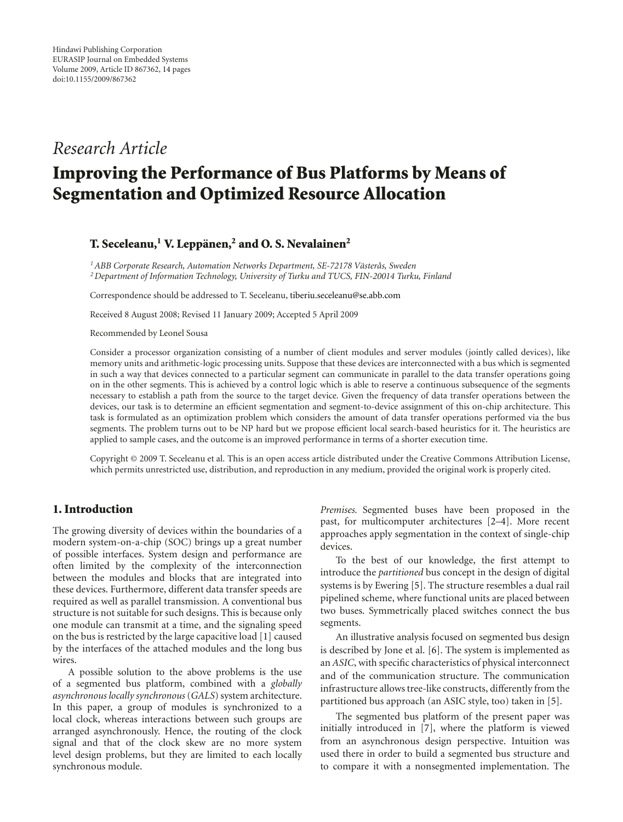## *Research Article*

# **Improving the Performance of Bus Platforms by Means of Segmentation and Optimized Resource Allocation**

## **T. Seceleanu,1 V. Leppanen, ¨ <sup>2</sup> and O. S. Nevalainen2**

<sup>*1</sup>ABB Corporate Research, Automation Networks Department, SE-72178 Västerås, Sweden*</sup> *2Department of Information Technology, University of Turku and TUCS, FIN-20014 Turku, Finland*

Correspondence should be addressed to T. Seceleanu, tiberiu.seceleanu@se.abb.com

Received 8 August 2008; Revised 11 January 2009; Accepted 5 April 2009

Recommended by Leonel Sousa

Consider a processor organization consisting of a number of client modules and server modules (jointly called devices), like memory units and arithmetic-logic processing units. Suppose that these devices are interconnected with a bus which is segmented in such a way that devices connected to a particular segment can communicate in parallel to the data transfer operations going on in the other segments. This is achieved by a control logic which is able to reserve a continuous subsequence of the segments necessary to establish a path from the source to the target device. Given the frequency of data transfer operations between the devices, our task is to determine an efficient segmentation and segment-to-device assignment of this on-chip architecture. This task is formulated as an optimization problem which considers the amount of data transfer operations performed via the bus segments. The problem turns out to be NP hard but we propose efficient local search-based heuristics for it. The heuristics are applied to sample cases, and the outcome is an improved performance in terms of a shorter execution time.

Copyright © 2009 T. Seceleanu et al. This is an open access article distributed under the Creative Commons Attribution License, which permits unrestricted use, distribution, and reproduction in any medium, provided the original work is properly cited.

## **1. Introduction**

The growing diversity of devices within the boundaries of a modern system-on-a-chip (SOC) brings up a great number of possible interfaces. System design and performance are often limited by the complexity of the interconnection between the modules and blocks that are integrated into these devices. Furthermore, different data transfer speeds are required as well as parallel transmission. A conventional bus structure is not suitable for such designs. This is because only one module can transmit at a time, and the signaling speed on the bus is restricted by the large capacitive load [1] caused by the interfaces of the attached modules and the long bus wires.

A possible solution to the above problems is the use of a segmented bus platform, combined with a *globally asynchronous locally synchronous*(*GALS*) system architecture. In this paper, a group of modules is synchronized to a local clock, whereas interactions between such groups are arranged asynchronously. Hence, the routing of the clock signal and that of the clock skew are no more system level design problems, but they are limited to each locally synchronous module.

*Premises.* Segmented buses have been proposed in the past, for multicomputer architectures [2–4]. More recent approaches apply segmentation in the context of single-chip devices.

To the best of our knowledge, the first attempt to introduce the *partitioned* bus concept in the design of digital systems is by Ewering [5]. The structure resembles a dual rail pipelined scheme, where functional units are placed between two buses. Symmetrically placed switches connect the bus segments.

An illustrative analysis focused on segmented bus design is described by Jone et al. [6]. The system is implemented as an *ASIC*, with specific characteristics of physical interconnect and of the communication structure. The communication infrastructure allows tree-like constructs, differently from the partitioned bus approach (an ASIC style, too) taken in [5].

The segmented bus platform of the present paper was initially introduced in [7], where the platform is viewed from an asynchronous design perspective. Intuition was used there in order to build a segmented bus structure and to compare it with a nonsegmented implementation. The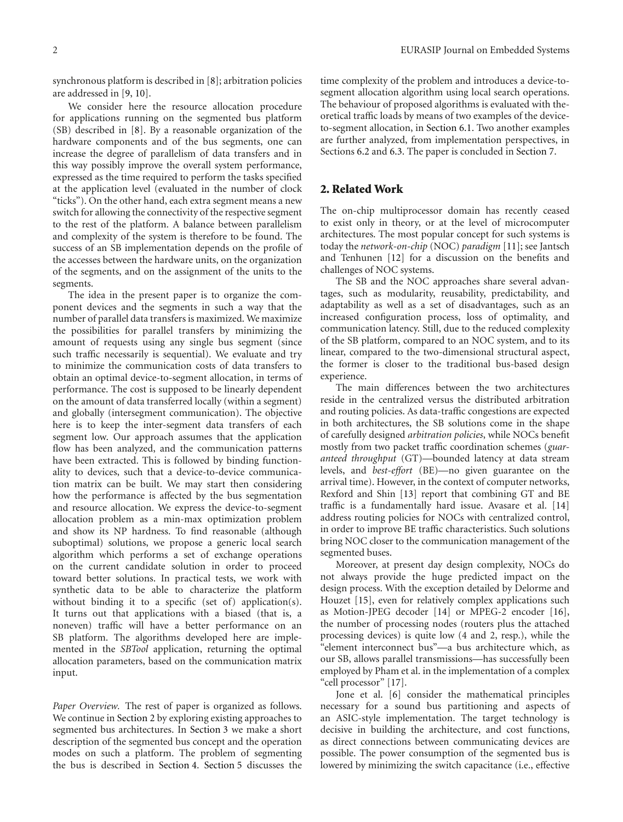synchronous platform is described in [8]; arbitration policies are addressed in [9, 10].

We consider here the resource allocation procedure for applications running on the segmented bus platform (SB) described in [8]. By a reasonable organization of the hardware components and of the bus segments, one can increase the degree of parallelism of data transfers and in this way possibly improve the overall system performance, expressed as the time required to perform the tasks specified at the application level (evaluated in the number of clock "ticks"). On the other hand, each extra segment means a new switch for allowing the connectivity of the respective segment to the rest of the platform. A balance between parallelism and complexity of the system is therefore to be found. The success of an SB implementation depends on the profile of the accesses between the hardware units, on the organization of the segments, and on the assignment of the units to the segments.

The idea in the present paper is to organize the component devices and the segments in such a way that the number of parallel data transfers is maximized. We maximize the possibilities for parallel transfers by minimizing the amount of requests using any single bus segment (since such traffic necessarily is sequential). We evaluate and try to minimize the communication costs of data transfers to obtain an optimal device-to-segment allocation, in terms of performance. The cost is supposed to be linearly dependent on the amount of data transferred locally (within a segment) and globally (intersegment communication). The objective here is to keep the inter-segment data transfers of each segment low. Our approach assumes that the application flow has been analyzed, and the communication patterns have been extracted. This is followed by binding functionality to devices, such that a device-to-device communication matrix can be built. We may start then considering how the performance is affected by the bus segmentation and resource allocation. We express the device-to-segment allocation problem as a min-max optimization problem and show its NP hardness. To find reasonable (although suboptimal) solutions, we propose a generic local search algorithm which performs a set of exchange operations on the current candidate solution in order to proceed toward better solutions. In practical tests, we work with synthetic data to be able to characterize the platform without binding it to a specific (set of) application(s). It turns out that applications with a biased (that is, a noneven) traffic will have a better performance on an SB platform. The algorithms developed here are implemented in the *SBTool* application, returning the optimal allocation parameters, based on the communication matrix input.

*Paper Overview.* The rest of paper is organized as follows. We continue in Section 2 by exploring existing approaches to segmented bus architectures. In Section 3 we make a short description of the segmented bus concept and the operation modes on such a platform. The problem of segmenting the bus is described in Section 4. Section 5 discusses the

time complexity of the problem and introduces a device-tosegment allocation algorithm using local search operations. The behaviour of proposed algorithms is evaluated with theoretical traffic loads by means of two examples of the deviceto-segment allocation, in Section 6.1. Two another examples are further analyzed, from implementation perspectives, in Sections 6.2 and 6.3. The paper is concluded in Section 7.

## **2. Related Work**

The on-chip multiprocessor domain has recently ceased to exist only in theory, or at the level of microcomputer architectures. The most popular concept for such systems is today the *network-on-chip* (NOC) *paradigm* [11]; see Jantsch and Tenhunen [12] for a discussion on the benefits and challenges of NOC systems.

The SB and the NOC approaches share several advantages, such as modularity, reusability, predictability, and adaptability as well as a set of disadvantages, such as an increased configuration process, loss of optimality, and communication latency. Still, due to the reduced complexity of the SB platform, compared to an NOC system, and to its linear, compared to the two-dimensional structural aspect, the former is closer to the traditional bus-based design experience.

The main differences between the two architectures reside in the centralized versus the distributed arbitration and routing policies. As data-traffic congestions are expected in both architectures, the SB solutions come in the shape of carefully designed *arbitration policies*, while NOCs benefit mostly from two packet traffic coordination schemes (*guaranteed throughput* (GT)—bounded latency at data stream levels, and *best-effort* (BE)—no given guarantee on the arrival time). However, in the context of computer networks, Rexford and Shin [13] report that combining GT and BE traffic is a fundamentally hard issue. Avasare et al. [14] address routing policies for NOCs with centralized control, in order to improve BE traffic characteristics. Such solutions bring NOC closer to the communication management of the segmented buses.

Moreover, at present day design complexity, NOCs do not always provide the huge predicted impact on the design process. With the exception detailed by Delorme and Houzet [15], even for relatively complex applications such as Motion-JPEG decoder [14] or MPEG-2 encoder [16], the number of processing nodes (routers plus the attached processing devices) is quite low (4 and 2, resp.), while the "element interconnect bus"—a bus architecture which, as our SB, allows parallel transmissions—has successfully been employed by Pham et al. in the implementation of a complex "cell processor" [17].

Jone et al. [6] consider the mathematical principles necessary for a sound bus partitioning and aspects of an ASIC-style implementation. The target technology is decisive in building the architecture, and cost functions, as direct connections between communicating devices are possible. The power consumption of the segmented bus is lowered by minimizing the switch capacitance (i.e., effective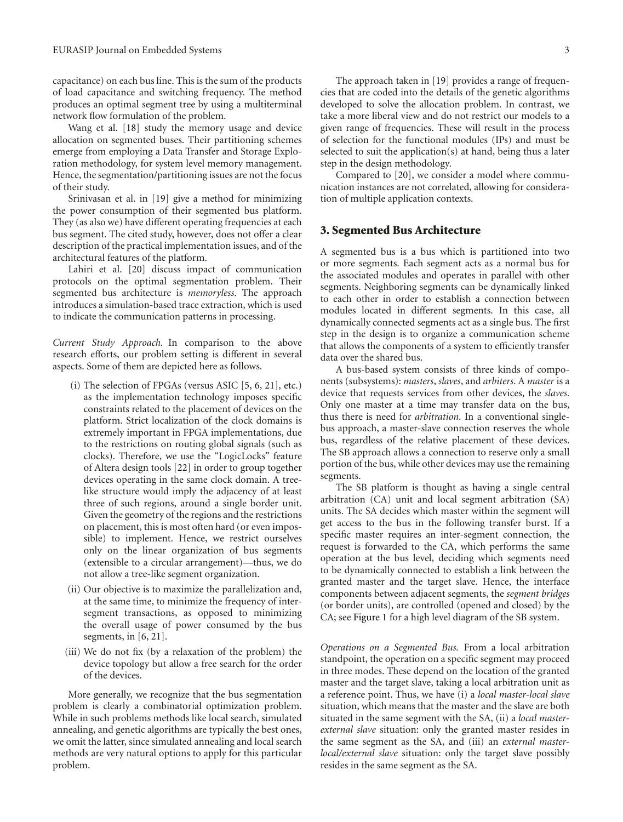capacitance) on each bus line. This is the sum of the products of load capacitance and switching frequency. The method produces an optimal segment tree by using a multiterminal network flow formulation of the problem.

Wang et al. [18] study the memory usage and device allocation on segmented buses. Their partitioning schemes emerge from employing a Data Transfer and Storage Exploration methodology, for system level memory management. Hence, the segmentation/partitioning issues are not the focus of their study.

Srinivasan et al. in [19] give a method for minimizing the power consumption of their segmented bus platform. They (as also we) have different operating frequencies at each bus segment. The cited study, however, does not offer a clear description of the practical implementation issues, and of the architectural features of the platform.

Lahiri et al. [20] discuss impact of communication protocols on the optimal segmentation problem. Their segmented bus architecture is *memoryless*. The approach introduces a simulation-based trace extraction, which is used to indicate the communication patterns in processing.

*Current Study Approach.* In comparison to the above research efforts, our problem setting is different in several aspects. Some of them are depicted here as follows.

- (i) The selection of FPGAs (versus ASIC [5, 6, 21], etc.) as the implementation technology imposes specific constraints related to the placement of devices on the platform. Strict localization of the clock domains is extremely important in FPGA implementations, due to the restrictions on routing global signals (such as clocks). Therefore, we use the "LogicLocks" feature of Altera design tools [22] in order to group together devices operating in the same clock domain. A treelike structure would imply the adjacency of at least three of such regions, around a single border unit. Given the geometry of the regions and the restrictions on placement, this is most often hard (or even impossible) to implement. Hence, we restrict ourselves only on the linear organization of bus segments (extensible to a circular arrangement)—thus, we do not allow a tree-like segment organization.
- (ii) Our objective is to maximize the parallelization and, at the same time, to minimize the frequency of intersegment transactions, as opposed to minimizing the overall usage of power consumed by the bus segments, in [6, 21].
- (iii) We do not fix (by a relaxation of the problem) the device topology but allow a free search for the order of the devices.

More generally, we recognize that the bus segmentation problem is clearly a combinatorial optimization problem. While in such problems methods like local search, simulated annealing, and genetic algorithms are typically the best ones, we omit the latter, since simulated annealing and local search methods are very natural options to apply for this particular problem.

The approach taken in [19] provides a range of frequencies that are coded into the details of the genetic algorithms developed to solve the allocation problem. In contrast, we take a more liberal view and do not restrict our models to a given range of frequencies. These will result in the process of selection for the functional modules (IPs) and must be selected to suit the application(s) at hand, being thus a later step in the design methodology.

Compared to [20], we consider a model where communication instances are not correlated, allowing for consideration of multiple application contexts.

#### **3. Segmented Bus Architecture**

A segmented bus is a bus which is partitioned into two or more segments. Each segment acts as a normal bus for the associated modules and operates in parallel with other segments. Neighboring segments can be dynamically linked to each other in order to establish a connection between modules located in different segments. In this case, all dynamically connected segments act as a single bus. The first step in the design is to organize a communication scheme that allows the components of a system to efficiently transfer data over the shared bus.

A bus-based system consists of three kinds of components (subsystems): *masters*, *slaves*, and *arbiters*. A *master* is a device that requests services from other devices, the *slaves*. Only one master at a time may transfer data on the bus, thus there is need for *arbitration*. In a conventional singlebus approach, a master-slave connection reserves the whole bus, regardless of the relative placement of these devices. The SB approach allows a connection to reserve only a small portion of the bus, while other devices may use the remaining segments.

The SB platform is thought as having a single central arbitration (CA) unit and local segment arbitration (SA) units. The SA decides which master within the segment will get access to the bus in the following transfer burst. If a specific master requires an inter-segment connection, the request is forwarded to the CA, which performs the same operation at the bus level, deciding which segments need to be dynamically connected to establish a link between the granted master and the target slave. Hence, the interface components between adjacent segments, the *segment bridges* (or border units), are controlled (opened and closed) by the CA; see Figure 1 for a high level diagram of the SB system.

*Operations on a Segmented Bus.* From a local arbitration standpoint, the operation on a specific segment may proceed in three modes. These depend on the location of the granted master and the target slave, taking a local arbitration unit as a reference point. Thus, we have (i) a *local master-local slave* situation, which means that the master and the slave are both situated in the same segment with the SA, (ii) a *local masterexternal slave* situation: only the granted master resides in the same segment as the SA, and (iii) an *external masterlocal/external slave* situation: only the target slave possibly resides in the same segment as the SA.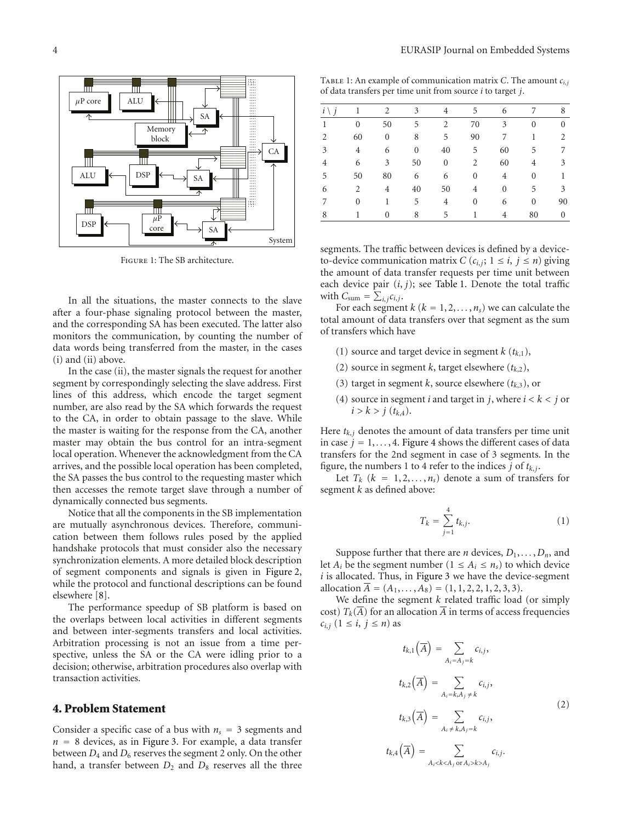

Figure 1: The SB architecture.

In all the situations, the master connects to the slave after a four-phase signaling protocol between the master, and the corresponding SA has been executed. The latter also monitors the communication, by counting the number of data words being transferred from the master, in the cases (i) and (ii) above.

In the case (ii), the master signals the request for another segment by correspondingly selecting the slave address. First lines of this address, which encode the target segment number, are also read by the SA which forwards the request to the CA, in order to obtain passage to the slave. While the master is waiting for the response from the CA, another master may obtain the bus control for an intra-segment local operation. Whenever the acknowledgment from the CA arrives, and the possible local operation has been completed, the SA passes the bus control to the requesting master which then accesses the remote target slave through a number of dynamically connected bus segments.

Notice that all the components in the SB implementation are mutually asynchronous devices. Therefore, communication between them follows rules posed by the applied handshake protocols that must consider also the necessary synchronization elements. A more detailed block description of segment components and signals is given in Figure 2, while the protocol and functional descriptions can be found elsewhere [8].

The performance speedup of SB platform is based on the overlaps between local activities in different segments and between inter-segments transfers and local activities. Arbitration processing is not an issue from a time perspective, unless the SA or the CA were idling prior to a decision; otherwise, arbitration procedures also overlap with transaction activities.

## **4. Problem Statement**

Consider a specific case of a bus with  $n<sub>s</sub> = 3$  segments and  $n = 8$  devices, as in Figure 3. For example, a data transfer between  $D_4$  and  $D_6$  reserves the segment 2 only. On the other hand, a transfer between  $D_2$  and  $D_8$  reserves all the three

TABLE 1: An example of communication matrix *C*. The amount  $c_{i,j}$ of data transfers per time unit from source *i* to target *j*.

| $i \setminus j$ | 1            | 2              | 3            | 4            | 5  | 6            |    | 8            |
|-----------------|--------------|----------------|--------------|--------------|----|--------------|----|--------------|
| 1               | $\mathbf{0}$ | 50             | 5            | 2            | 70 | 3            | 0  | $\mathbf{0}$ |
| 2               | 60           | $\overline{0}$ | 8            | 5            | 90 |              | 1  | 2            |
| 3               | 4            | 6              | $\mathbf{0}$ | 40           | 5  | 60           | 5  | 7            |
| 4               | 6            | 3              | 50           | $\mathbf{0}$ | 2  | 60           | 4  | 3            |
| 5               | 50           | 80             | 6            | 6            | 0  | 4            | 0  | 1            |
| 6               | 2            | 4              | 40           | 50           | 4  | $\mathbf{0}$ | 5  | 3            |
| 7               | $\theta$     |                | 5            | 4            | 0  | 6            | 0  | 90           |
| 8               |              | $\theta$       | 8            | 5            |    | 4            | 80 | $\mathbf{0}$ |

segments. The traffic between devices is defined by a deviceto-device communication matrix *C* ( $c_{i,j}$ ; 1  $\leq i, j \leq n$ ) giving the amount of data transfer requests per time unit between each device pair (*i*, *j*); see Table 1. Denote the total traffic with  $C_{\text{sum}} = \sum_{i,j} c_{i,j}$ .

For each segment  $k$  ( $k = 1, 2, ..., n_s$ ) we can calculate the total amount of data transfers over that segment as the sum of transfers which have

- (1) source and target device in segment  $k$  ( $t_{k,1}$ ),
- (2) source in segment *k*, target elsewhere  $(t_{k,2})$ ,
- (3) target in segment *k*, source elsewhere  $(t_{k,3})$ , or
- (4) source in segment *i* and target in *j*, where  $i < k < j$  or  $i > k > j$  ( $t_{k,4}$ ).

Here  $t_{k,i}$  denotes the amount of data transfers per time unit in case  $j = 1, \ldots, 4$ . Figure 4 shows the different cases of data transfers for the 2nd segment in case of 3 segments. In the figure, the numbers 1 to 4 refer to the indices  $j$  of  $t_{k,j}$ .

Let  $T_k$  ( $k = 1, 2, ..., n_s$ ) denote a sum of transfers for segment *k* as defined above:

$$
T_k = \sum_{j=1}^{4} t_{k,j}.
$$
 (1)

Suppose further that there are *n* devices,  $D_1, \ldots, D_n$ , and let  $A_i$  be the segment number  $(1 \leq A_i \leq n_s)$  to which device *i* is allocated. Thus, in Figure 3 we have the device-segment allocation  $\overline{A} = (A_1, \ldots, A_8) = (1, 1, 2, 2, 1, 2, 3, 3).$ 

We define the segment *k* related traffic load (or simply cost)  $T_k(\overline{A})$  for an allocation  $\overline{A}$  in terms of access frequencies  $c_{i,j}$   $(1 \leq i, j \leq n)$  as

$$
t_{k,1}(\overline{A}) = \sum_{A_i = A_j = k} c_{i,j},
$$
  

$$
t_{k,2}(\overline{A}) = \sum_{A_i = k, A_j \neq k} c_{i,j},
$$
  

$$
t_{k,3}(\overline{A}) = \sum_{A_i \neq k, A_j = k} c_{i,j},
$$
  

$$
t_{k,4}(\overline{A}) = \sum_{A_i \neq k, A_j = k} c_{i,j}.
$$
  
(2)

*Ai<k<Aj* or*Ai>k>Aj*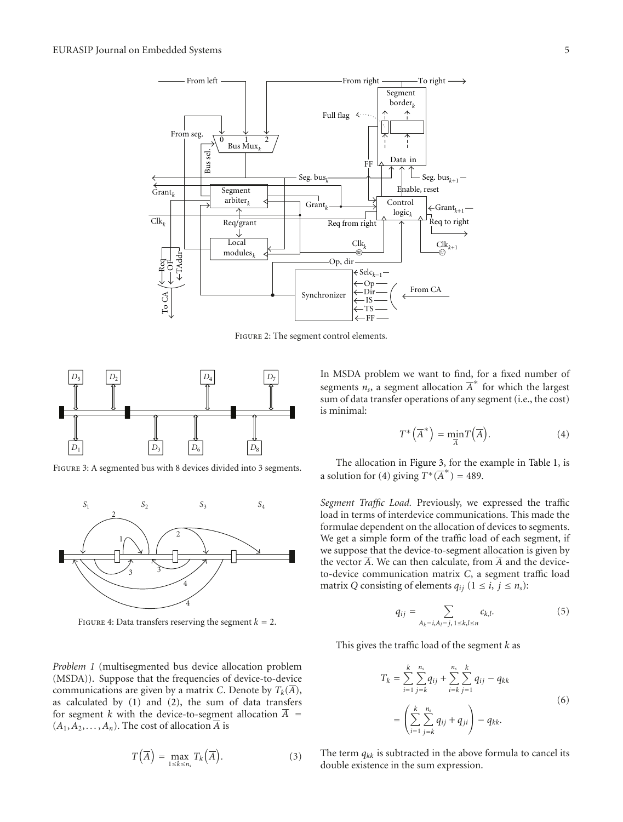

FIGURE 2: The segment control elements.



Figure 3: A segmented bus with 8 devices divided into 3 segments.



FIGURE 4: Data transfers reserving the segment  $k = 2$ .

*Problem 1* (multisegmented bus device allocation problem (MSDA)). Suppose that the frequencies of device-to-device communications are given by a matrix *C*. Denote by  $T_k(\overline{A})$ , as calculated by (1) and (2), the sum of data transfers for segment *k* with the device-to-segment allocation  $\overline{A}$  =  $(A_1, A_2, \ldots, A_n)$ . The cost of allocation  $\overline{A}$  is

$$
T(\overline{A}) = \max_{1 \le k \le n_s} T_k(\overline{A}). \tag{3}
$$

In MSDA problem we want to find, for a fixed number of segments  $n_s$ , a segment allocation  $\overline{A}^*$  for which the largest sum of data transfer operations of any segment (i.e., the cost) is minimal:

$$
T^*\left(\overline{A}^*\right) = \min_{\overline{A}} T\left(\overline{A}\right). \tag{4}
$$

The allocation in Figure 3, for the example in Table 1, is a solution for (4) giving  $T^*(\overline{A}^*) = 489$ .

*Segment Traffic Load.* Previously, we expressed the traffic load in terms of interdevice communications. This made the formulae dependent on the allocation of devices to segments. We get a simple form of the traffic load of each segment, if we suppose that the device-to-segment allocation is given by the vector  $\overline{A}$ . We can then calculate, from  $\overline{A}$  and the deviceto-device communication matrix *C*, a segment traffic load matrix *Q* consisting of elements  $q_{ij}$  (1  $\leq i, j \leq n_s$ ):

$$
q_{ij} = \sum_{A_k = i, A_l = j, 1 \le k, l \le n} c_{k,l}.\tag{5}
$$

This gives the traffic load of the segment *k* as

$$
T_k = \sum_{i=1}^k \sum_{j=k}^{n_s} q_{ij} + \sum_{i=k}^{n_s} \sum_{j=1}^k q_{ij} - q_{kk}
$$
  
= 
$$
\left(\sum_{i=1}^k \sum_{j=k}^{n_s} q_{ij} + q_{ji}\right) - q_{kk}.
$$
 (6)

The term  $q_{kk}$  is subtracted in the above formula to cancel its double existence in the sum expression.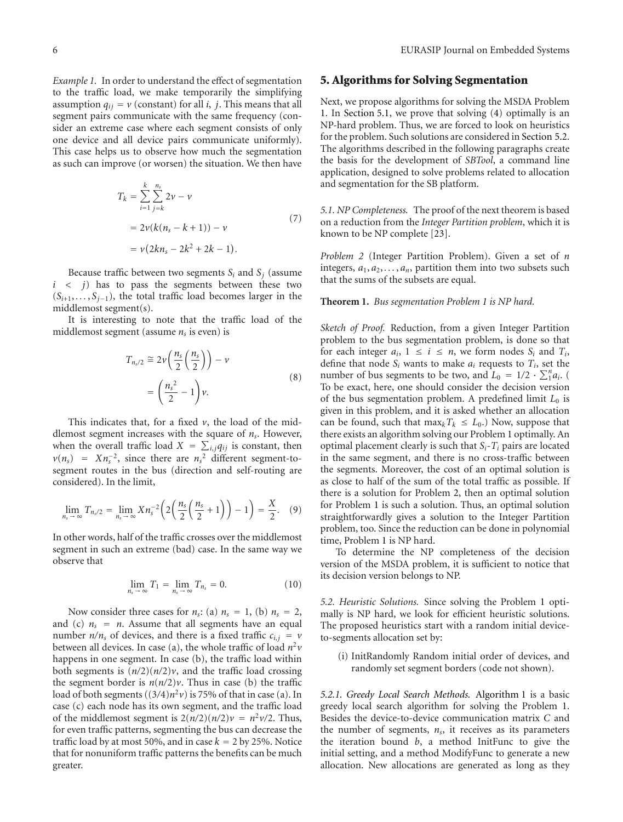*Example 1.* In order to understand the effect of segmentation to the traffic load, we make temporarily the simplifying assumption  $q_{ij} = v$  (constant) for all *i*, *j*. This means that all segment pairs communicate with the same frequency (consider an extreme case where each segment consists of only one device and all device pairs communicate uniformly). This case helps us to observe how much the segmentation as such can improve (or worsen) the situation. We then have

$$
T_k = \sum_{i=1}^k \sum_{j=k}^{n_s} 2\nu - \nu
$$
  
=  $2\nu(k(n_s - k + 1)) - \nu$   
=  $\nu(2kn_s - 2k^2 + 2k - 1)$ . (7)

Because traffic between two segments  $S_i$  and  $S_j$  (assume  $i < j$ ) has to pass the segments between these two (*Si*+1, *...* , *Sj*−1), the total traffic load becomes larger in the middlemost segment(s).

It is interesting to note that the traffic load of the middlemost segment (assume *ns* is even) is

$$
T_{n_s/2} \cong 2\nu \left(\frac{n_s}{2}\left(\frac{n_s}{2}\right)\right) - \nu
$$
  
= 
$$
\left(\frac{n_s^2}{2} - 1\right)\nu.
$$
 (8)

This indicates that, for a fixed  $\nu$ , the load of the middlemost segment increases with the square of *ns*. However, when the overall traffic load  $X = \sum_{i,j} q_{ij}$  is constant, then  $v(n_s) = X n_s^{-2}$ , since there are  $n_s^2$  different segment-tosegment routes in the bus (direction and self-routing are considered). In the limit,

$$
\lim_{n_s \to \infty} T_{n_s/2} = \lim_{n_s \to \infty} X n_s^{-2} \left( 2 \left( \frac{n_s}{2} \left( \frac{n_s}{2} + 1 \right) \right) - 1 \right) = \frac{X}{2}.
$$
 (9)

In other words, half of the traffic crosses over the middlemost segment in such an extreme (bad) case. In the same way we observe that

$$
\lim_{n_s \to \infty} T_1 = \lim_{n_s \to \infty} T_{n_s} = 0. \tag{10}
$$

Now consider three cases for  $n_s$ : (a)  $n_s = 1$ , (b)  $n_s = 2$ , and (c)  $n_s = n$ . Assume that all segments have an equal number  $n/n_s$  of devices, and there is a fixed traffic  $c_{i,j} = v$ between all devices. In case (a), the whole traffic of load  $n^2v$ happens in one segment. In case (b), the traffic load within both segments is  $(n/2)(n/2)v$ , and the traffic load crossing the segment border is  $n(n/2)v$ . Thus in case (b) the traffic load of both segments  $((3/4)n^2v)$  is 75% of that in case (a). In case (c) each node has its own segment, and the traffic load of the middlemost segment is  $2(n/2)(n/2)\nu = n^2\nu/2$ . Thus, for even traffic patterns, segmenting the bus can decrease the traffic load by at most 50%, and in case  $k = 2$  by 25%. Notice that for nonuniform traffic patterns the benefits can be much greater.

#### **5. Algorithms for Solving Segmentation**

Next, we propose algorithms for solving the MSDA Problem 1. In Section 5.1, we prove that solving (4) optimally is an NP-hard problem. Thus, we are forced to look on heuristics for the problem. Such solutions are considered in Section 5.2. The algorithms described in the following paragraphs create the basis for the development of *SBTool*, a command line application, designed to solve problems related to allocation and segmentation for the SB platform.

*5.1. NP Completeness.* The proof of the next theorem is based on a reduction from the *Integer Partition problem*, which it is known to be NP complete [23].

*Problem 2* (Integer Partition Problem). Given a set of *n* integers,  $a_1, a_2, \ldots, a_n$ , partition them into two subsets such that the sums of the subsets are equal.

#### **Theorem 1.** *Bus segmentation Problem 1 is NP hard.*

*Sketch of Proof.* Reduction, from a given Integer Partition problem to the bus segmentation problem, is done so that for each integer  $a_i$ ,  $1 \le i \le n$ , we form nodes  $S_i$  and  $T_i$ , define that node  $S_i$  wants to make  $a_i$  requests to  $T_i$ , set the number of bus segments to be two, and  $L_0 = 1/2 \cdot \sum_{i=1}^{n} a_i$ . To be exact, here, one should consider the decision version of the bus segmentation problem. A predefined limit  $L_0$  is given in this problem, and it is asked whether an allocation can be found, such that  $\max_k T_k \leq L_0$ .) Now, suppose that there exists an algorithm solving our Problem 1 optimally. An optimal placement clearly is such that *Si*-*Ti* pairs are located in the same segment, and there is no cross-traffic between the segments. Moreover, the cost of an optimal solution is as close to half of the sum of the total traffic as possible. If there is a solution for Problem 2, then an optimal solution for Problem 1 is such a solution. Thus, an optimal solution straightforwardly gives a solution to the Integer Partition problem, too. Since the reduction can be done in polynomial time, Problem 1 is NP hard.

To determine the NP completeness of the decision version of the MSDA problem, it is sufficient to notice that its decision version belongs to NP.

*5.2. Heuristic Solutions.* Since solving the Problem 1 optimally is NP hard, we look for efficient heuristic solutions. The proposed heuristics start with a random initial deviceto-segments allocation set by:

(i) InitRandomly Random initial order of devices, and randomly set segment borders (code not shown).

*5.2.1. Greedy Local Search Methods.* Algorithm 1 is a basic greedy local search algorithm for solving the Problem 1. Besides the device-to-device communication matrix *C* and the number of segments, *ns*, it receives as its parameters the iteration bound *b*, a method InitFunc to give the initial setting, and a method ModifyFunc to generate a new allocation. New allocations are generated as long as they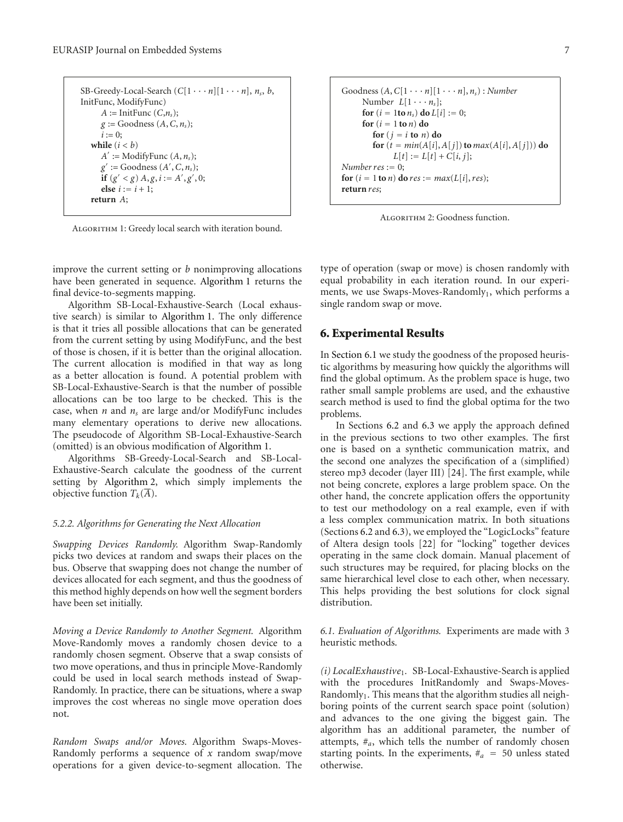```
SB-Greedy-Local-Search (C[1 \cdots n][1 \cdots n], n_s, b,InitFunc, ModifyFunc)
     A :=InitFunc (C, n_s);
     g := Goodness (A, C, n_s);i := 0;while (i < b)A' := \text{ModifyFunc}(A, n_s);g := Goodness (A
,C, ns);
      if (g' < g) A, g, i := A', g', 0;
     else i := i + 1;
   return A;
```
ALGORITHM 1: Greedy local search with iteration bound.

improve the current setting or *b* nonimproving allocations have been generated in sequence. Algorithm 1 returns the final device-to-segments mapping.

Algorithm SB-Local-Exhaustive-Search (Local exhaustive search) is similar to Algorithm 1. The only difference is that it tries all possible allocations that can be generated from the current setting by using ModifyFunc, and the best of those is chosen, if it is better than the original allocation. The current allocation is modified in that way as long as a better allocation is found. A potential problem with SB-Local-Exhaustive-Search is that the number of possible allocations can be too large to be checked. This is the case, when *n* and *ns* are large and/or ModifyFunc includes many elementary operations to derive new allocations. The pseudocode of Algorithm SB-Local-Exhaustive-Search (omitted) is an obvious modification of Algorithm 1.

Algorithms SB-Greedy-Local-Search and SB-Local-Exhaustive-Search calculate the goodness of the current setting by Algorithm 2, which simply implements the objective function  $T_k(\overline{A})$ .

## *5.2.2. Algorithms for Generating the Next Allocation*

*Swapping Devices Randomly.* Algorithm Swap-Randomly picks two devices at random and swaps their places on the bus. Observe that swapping does not change the number of devices allocated for each segment, and thus the goodness of this method highly depends on how well the segment borders have been set initially.

*Moving a Device Randomly to Another Segment.* Algorithm Move-Randomly moves a randomly chosen device to a randomly chosen segment. Observe that a swap consists of two move operations, and thus in principle Move-Randomly could be used in local search methods instead of Swap-Randomly. In practice, there can be situations, where a swap improves the cost whereas no single move operation does not.

*Random Swaps and/or Moves.* Algorithm Swaps-Moves-Randomly performs a sequence of *x* random swap/move operations for a given device-to-segment allocation. The

```
Goodness (A, C[1 \cdots n][1 \cdots n], n_s): Number
     Number L[1 \cdots n_s];
     for (i = 1to n_s) do L[i] := 0;
     for (i = 1 to n) do
         for (j = i \text{ to } n) do
         for (t = min(A[i], A[j]) to max(A[i], A[j])) do
              L[t] := L[t] + C[i, j];Numberres := 0;
for (i = 1 to n) do res := max(L[i], res);return res;
```
ALGORITHM 2: Goodness function.

type of operation (swap or move) is chosen randomly with equal probability in each iteration round. In our experiments, we use Swaps-Moves-Randomly<sub>1</sub>, which performs a single random swap or move.

## **6. Experimental Results**

In Section 6.1 we study the goodness of the proposed heuristic algorithms by measuring how quickly the algorithms will find the global optimum. As the problem space is huge, two rather small sample problems are used, and the exhaustive search method is used to find the global optima for the two problems.

In Sections 6.2 and 6.3 we apply the approach defined in the previous sections to two other examples. The first one is based on a synthetic communication matrix, and the second one analyzes the specification of a (simplified) stereo mp3 decoder (layer III) [24]. The first example, while not being concrete, explores a large problem space. On the other hand, the concrete application offers the opportunity to test our methodology on a real example, even if with a less complex communication matrix. In both situations (Sections 6.2 and 6.3), we employed the "LogicLocks" feature of Altera design tools [22] for "locking" together devices operating in the same clock domain. Manual placement of such structures may be required, for placing blocks on the same hierarchical level close to each other, when necessary. This helps providing the best solutions for clock signal distribution.

*6.1. Evaluation of Algorithms.* Experiments are made with 3 heuristic methods.

*(i) LocalExhaustive*1*.* SB-Local-Exhaustive-Search is applied with the procedures InitRandomly and Swaps-Moves-Randomly<sub>1</sub>. This means that the algorithm studies all neighboring points of the current search space point (solution) and advances to the one giving the biggest gain. The algorithm has an additional parameter, the number of attempts,  $#a$ , which tells the number of randomly chosen starting points. In the experiments,  $\mu_a = 50$  unless stated otherwise.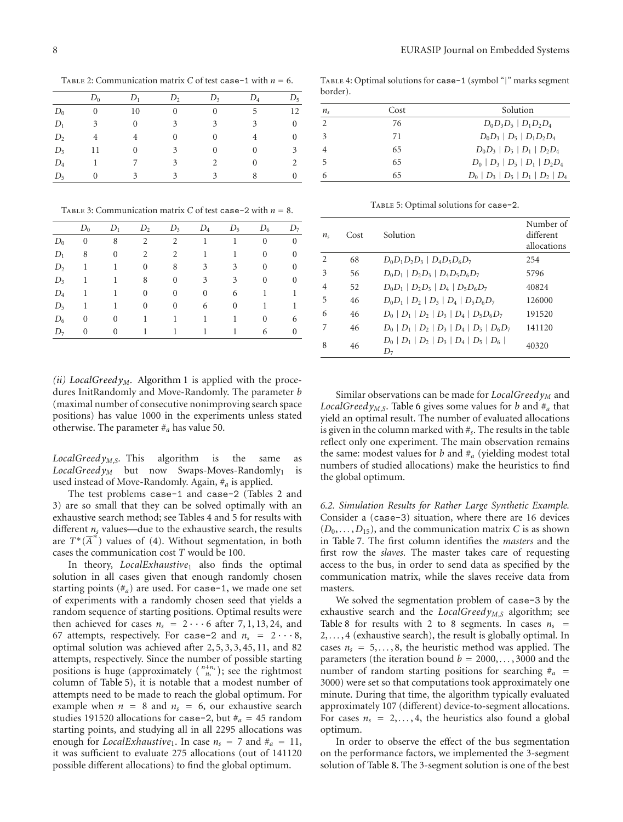TABLE 2: Communication matrix *C* of test case-1 with  $n = 6$ .

|       | $D_0$    | $D_1$                   | $D_{2}$  | $D_3$    | $D_4$ | $D_5$ |
|-------|----------|-------------------------|----------|----------|-------|-------|
| $D_0$ | $\theta$ | 10                      | $\theta$ | $\theta$ | 5     | 12    |
| $D_1$ | 3        | $\Omega$                | 3        | 3        | 3     | 0     |
| $D_2$ | 4        |                         | $\theta$ | 0        |       | 0     |
| $D_3$ | 11       | $\theta$                | 3        | $\theta$ | 0     | 3     |
| $D_4$ |          |                         | 3        | 2        | 0     | 2     |
| $D_5$ | $\left($ | $\overline{\mathbf{z}}$ | 3        | ζ        |       |       |

TABLE 3: Communication matrix *C* of test case-2 with  $n = 8$ .

|                | $D_0$ | $D_1$    | $D_2$        | $D_3$        | $D_4$ | $D_5$        | $D_6$        | $D_7$    |
|----------------|-------|----------|--------------|--------------|-------|--------------|--------------|----------|
| $D_0$          | 0     | 8        | 2            | 2            | 1     | 1            | $\mathbf{0}$ | $\Omega$ |
| $D_1$          | 8     | $\theta$ | 2            | 2            | 1     | 1            | $\theta$     | $\Omega$ |
| D <sub>2</sub> | 1     | 1        | $\mathbf{0}$ | 8            | 3     | 3            | $\mathbf{0}$ | $\theta$ |
| $D_3$          | 1     |          | 8            | $\mathbf{0}$ | 3     | 3            | $\mathbf{0}$ | $\theta$ |
| $D_4$          | 1     |          | $\mathbf{0}$ | $\theta$     | 0     | 6            | 1            |          |
| $D_5$          |       |          | $\mathbf{0}$ | $\Omega$     | 6     | $\mathbf{0}$ | 1            |          |
| $D_6$          | 0     | 0        | 1            |              | 1     | 1            | $\mathbf{0}$ | 6        |
| $D_7$          | 0     | $\Omega$ |              |              |       |              | 6            |          |
|                |       |          |              |              |       |              |              |          |

*(ii) LocalGreedy<sub>M</sub>*. Algorithm 1 is applied with the procedures InitRandomly and Move-Randomly. The parameter *b* (maximal number of consecutive nonimproving search space positions) has value 1000 in the experiments unless stated otherwise. The parameter #*<sup>a</sup>* has value 50.

*LocalGreedyM*,*S.* This algorithm is the same as *LocalGreedy<sub>M</sub>* but now Swaps-Moves-Randomly<sub>1</sub> is used instead of Move-Randomly. Again, #*<sup>a</sup>* is applied.

The test problems case-1 and case-2 (Tables 2 and 3) are so small that they can be solved optimally with an exhaustive search method; see Tables 4 and 5 for results with different  $n_s$  values—due to the exhaustive search, the results are  $T^*(\overline{A}^*)$  values of (4). Without segmentation, in both cases the communication cost *T* would be 100.

In theory, *LocalExhaustive*<sup>1</sup> also finds the optimal solution in all cases given that enough randomly chosen starting points  $(\#_a)$  are used. For case-1, we made one set of experiments with a randomly chosen seed that yields a random sequence of starting positions. Optimal results were then achieved for cases  $n_s = 2 \cdots 6$  after 7, 1, 13, 24, and 67 attempts, respectively. For case-2 and  $n_s = 2 \cdots 8$ , optimal solution was achieved after 2, 5, 3, 3, 45, 11, and 82 attempts, respectively. Since the number of possible starting positions is huge (approximately  $\binom{n+n_s}{n_s}$ ; see the rightmost column of Table 5), it is notable that a modest number of attempts need to be made to reach the global optimum. For example when  $n = 8$  and  $n_s = 6$ , our exhaustive search studies 191520 allocations for case-2, but  $\mu_a = 45$  random starting points, and studying all in all 2295 allocations was enough for *LocalExhaustive*<sub>1</sub>. In case  $n_s = 7$  and  $\ddot{a} = 11$ , it was sufficient to evaluate 275 allocations (out of 141120 possible different allocations) to find the global optimum.

TABLE 4: Optimal solutions for case-1 (symbol "|" marks segment border).

| $n_{\rm s}$ | Cost | Solution                            |
|-------------|------|-------------------------------------|
| 2           | 76   | $D_0D_3D_5$   $D_1D_2D_4$           |
| 3           | 71   | $D_0D_3$   $D_5$   $D_1D_2D_4$      |
| 4           | 65   | $D_0D_3$   $D_5$   $D_1$   $D_2D_4$ |
| 5           | 65   | $D_0   D_3   D_5   D_1   D_2 D_4$   |
| 6           | 65   | $D_0   D_3   D_5   D_1   D_2   D_4$ |

Number of different

TABLE 5: Optimal solutions for case-2.

| $n_{\rm s}$    | Cost | Solution                                          | different<br>allocations |
|----------------|------|---------------------------------------------------|--------------------------|
| 2              | 68   | $D_0D_1D_2D_3$   $D_4D_5D_6D_7$                   | 254                      |
| 3              | 56   | $D_0D_1$   $D_2D_3$   $D_4D_5D_6D_7$              | 5796                     |
| $\overline{4}$ | 52   | $D_0D_1   D_2D_3   D_4   D_5D_6D_7$               | 40824                    |
| 5              | 46   | $D_0D_1$   $D_2$   $D_3$   $D_4$   $D_5D_6D_7$    | 126000                   |
| 6              | 46   | $D_0   D_1   D_2   D_3   D_4   D_5 D_6 D_7$       | 191520                   |
| 7              | 46   | $D_0   D_1   D_2   D_3   D_4   D_5   D_6 D_7$     | 141120                   |
| 8              | 46   | $D_0   D_1   D_2   D_3   D_4   D_5   D_6  $<br>D7 | 40320                    |

Similar observations can be made for *LocalGreedy<sub>M</sub>* and *LocalGreedy<sub>M</sub>*,*S*. Table 6 gives some values for *b* and  $#$ <sub>*a*</sub> that yield an optimal result. The number of evaluated allocations is given in the column marked with #*s*. The results in the table reflect only one experiment. The main observation remains the same: modest values for  $b$  and  $\#$ <sub>a</sub> (yielding modest total numbers of studied allocations) make the heuristics to find the global optimum.

*6.2. Simulation Results for Rather Large Synthetic Example.* Consider a (case-3) situation, where there are 16 devices  $(D_0, \ldots, D_{15})$ , and the communication matrix *C* is as shown in Table 7. The first column identifies the *masters* and the first row the *slaves*. The master takes care of requesting access to the bus, in order to send data as specified by the communication matrix, while the slaves receive data from masters.

We solved the segmentation problem of case-3 by the exhaustive search and the *LocalGreedy<sub>M,S</sub>* algorithm; see Table 8 for results with 2 to 8 segments. In cases  $n_s$  = 2, *...* , 4 (exhaustive search), the result is globally optimal. In cases  $n_s = 5, \ldots, 8$ , the heuristic method was applied. The parameters (the iteration bound  $b = 2000, \ldots, 3000$  and the number of random starting positions for searching #*<sup>a</sup>* = 3000) were set so that computations took approximately one minute. During that time, the algorithm typically evaluated approximately 107 (different) device-to-segment allocations. For cases  $n_s = 2, \ldots, 4$ , the heuristics also found a global optimum.

In order to observe the effect of the bus segmentation on the performance factors, we implemented the 3-segment solution of Table 8. The 3-segment solution is one of the best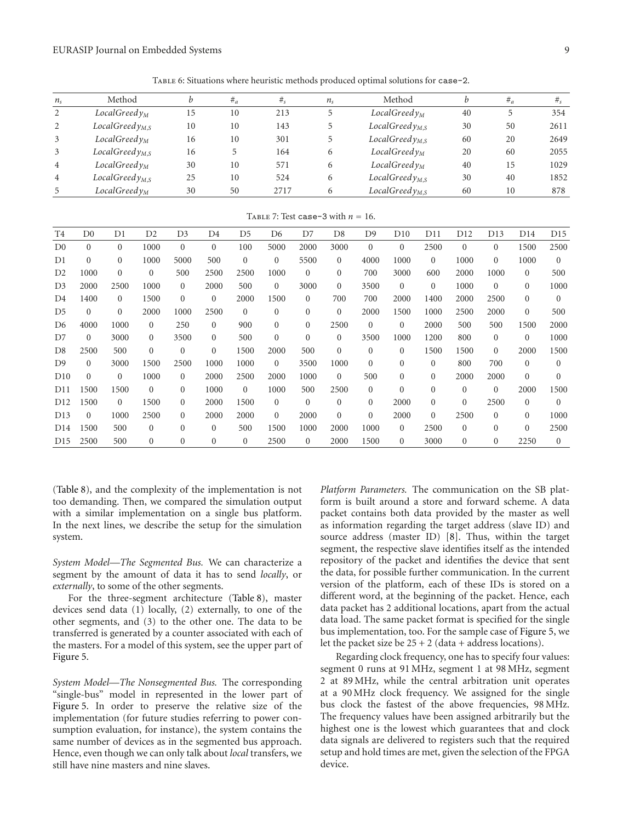TABLE 6: Situations where heuristic methods produced optimal solutions for case-2.

| $n_{s}$        | Method                 | b  | $#_a$ | $#_{s}$ | $n_{s}$ | Method                   | b  | $#_a$ | $#_{s}$ |
|----------------|------------------------|----|-------|---------|---------|--------------------------|----|-------|---------|
| 2              | LocalGreed $y_M$       | 15 | 10    | 213     | 5       | LocalGreedy <sub>M</sub> | 40 | 5     | 354     |
|                | $LocalGreedy_{M,S}$    | 10 | 10    | 143     | 5       | $LocalGreedy_{M,S}$      | 30 | 50    | 2611    |
| 3              | $LocalGreed$ $v_M$     | 16 | 10    | 301     | 5       | $LocalGreedy_{M,S}$      | 60 | 20    | 2649    |
| 3              | $LocalGreed$ $y_{M,S}$ | 16 | 5     | 164     | 6       | LocalGreedy <sub>M</sub> | 20 | 60    | 2055    |
| $\overline{4}$ | $LocalGreedy_M$        | 30 | 10    | 571     | 6       | LocalGreedy <sub>M</sub> | 40 | 15    | 1029    |
| $\overline{4}$ | $LocalGreedy_{M,S}$    | 25 | 10    | 524     | 6       | $LocalGreedy_{M,S}$      | 30 | 40    | 1852    |
| 5              | $LocalGreedy_M$        | 30 | 50    | 2717    | 6       | $LocalGreedy_{M,S}$      | 60 | 10    | 878     |
|                |                        |    |       |         |         |                          |    |       |         |

TABLE 7: Test case-3 with  $n = 16$ .

| T4              | D <sub>0</sub> | D1             | D <sub>2</sub> | D <sub>3</sub> | D4       | D5       | D <sub>6</sub> | D7             | D <sub>8</sub> | D <sub>9</sub> | D10            | D11            | D <sub>12</sub> | D <sub>13</sub> | D14      | D <sub>15</sub> |
|-----------------|----------------|----------------|----------------|----------------|----------|----------|----------------|----------------|----------------|----------------|----------------|----------------|-----------------|-----------------|----------|-----------------|
| D <sub>0</sub>  | $\Omega$       | $\Omega$       | 1000           | $\Omega$       | $\Omega$ | 100      | 5000           | 2000           | 3000           | $\overline{0}$ | $\mathbf{0}$   | 2500           | $\Omega$        | $\Omega$        | 1500     | 2500            |
| D <sub>1</sub>  | $\Omega$       | $\Omega$       | 1000           | 5000           | 500      | $\Omega$ | $\mathbf{0}$   | 5500           | $\Omega$       | 4000           | 1000           | $\Omega$       | 1000            | $\Omega$        | 1000     | $\Omega$        |
| D <sub>2</sub>  | 1000           | $\Omega$       | $\overline{0}$ | 500            | 2500     | 2500     | 1000           | $\Omega$       | $\Omega$       | 700            | 3000           | 600            | 2000            | 1000            | $\left($ | 500             |
| D <sub>3</sub>  | 2000           | 2500           | 1000           | $\Omega$       | 2000     | 500      | $\Omega$       | 3000           | $\Omega$       | 3500           | $\overline{0}$ | $\overline{0}$ | 1000            | $\mathbf{0}$    | $\Omega$ | 1000            |
| D <sub>4</sub>  | 1400           | $\Omega$       | 1500           | $\overline{0}$ | $\Omega$ | 2000     | 1500           | $\Omega$       | 700            | 700            | 2000           | 1400           | 2000            | 2500            | $\Omega$ | $\Omega$        |
| D <sub>5</sub>  | $\overline{0}$ | $\mathbf{0}$   | 2000           | 1000           | 2500     | $\theta$ | $\mathbf{0}$   | $\overline{0}$ | $\mathbf{0}$   | 2000           | 1500           | 1000           | 2500            | 2000            | $\Omega$ | 500             |
| D <sub>6</sub>  | 4000           | 1000           | $\Omega$       | 250            | $\Omega$ | 900      | $\mathbf{0}$   | $\Omega$       | 2500           | $\overline{0}$ | $\Omega$       | 2000           | 500             | 500             | 1500     | 2000            |
| D7              | $\Omega$       | 3000           | $\mathbf{0}$   | 3500           | $\Omega$ | 500      | $\mathbf{0}$   | $\Omega$       | $\Omega$       | 3500           | 1000           | 1200           | 800             | $\overline{0}$  | $\Omega$ | 1000            |
| D <sub>8</sub>  | 2500           | 500            | $\mathbf{0}$   | $\mathbf{0}$   | $\Omega$ | 1500     | 2000           | 500            | $\Omega$       | $\overline{0}$ | $\Omega$       | 1500           | 1500            | $\Omega$        | 2000     | 1500            |
| D <sup>9</sup>  | $\Omega$       | 3000           | 1500           | 2500           | 1000     | 1000     | $\overline{0}$ | 3500           | 1000           | $\overline{0}$ | $\mathbf{0}$   | $\mathbf{0}$   | 800             | 700             | $\Omega$ | $\overline{0}$  |
| D10             | $\Omega$       | $\Omega$       | 1000           | $\Omega$       | 2000     | 2500     | 2000           | 1000           | $\Omega$       | 500            | $\Omega$       | $\Omega$       | 2000            | 2000            | $\Omega$ | $\Omega$        |
| D11             | 1500           | 1500           | $\Omega$       | $\overline{0}$ | 1000     | $\Omega$ | 1000           | 500            | 2500           | $\overline{0}$ | $\theta$       | $\Omega$       | $\Omega$        | $\theta$        | 2000     | 1500            |
| D <sub>12</sub> | 1500           | $\overline{0}$ | 1500           | $\overline{0}$ | 2000     | 1500     | $\mathbf{0}$   | $\Omega$       | $\Omega$       | $\overline{0}$ | 2000           | $\mathbf{0}$   | $\Omega$        | 2500            | $\Omega$ | $\mathbf{0}$    |
| D <sub>13</sub> | $\Omega$       | 1000           | 2500           | $\overline{0}$ | 2000     | 2000     | $\mathbf{0}$   | 2000           | $\mathbf{0}$   | $\overline{0}$ | 2000           | $\Omega$       | 2500            | $\mathbf{0}$    | $\Omega$ | 1000            |
| D <sub>14</sub> | 1500           | 500            | $\mathbf{0}$   | $\overline{0}$ | $\Omega$ | 500      | 1500           | 1000           | 2000           | 1000           | $\Omega$       | 2500           | $\Omega$        | $\mathbf{0}$    | $\Omega$ | 2500            |
| D <sub>15</sub> | 2500           | 500            | $\mathbf{0}$   | $\Omega$       | $\Omega$ | $\Omega$ | 2500           | $\Omega$       | 2000           | 1500           | $\Omega$       | 3000           | $\Omega$        | $\Omega$        | 2250     | $\mathbf{0}$    |
|                 |                |                |                |                |          |          |                |                |                |                |                |                |                 |                 |          |                 |

(Table 8), and the complexity of the implementation is not too demanding. Then, we compared the simulation output with a similar implementation on a single bus platform. In the next lines, we describe the setup for the simulation system.

*System Model—The Segmented Bus.* We can characterize a segment by the amount of data it has to send *locally*, or *externally*, to some of the other segments.

For the three-segment architecture (Table 8), master devices send data (1) locally, (2) externally, to one of the other segments, and (3) to the other one. The data to be transferred is generated by a counter associated with each of the masters. For a model of this system, see the upper part of Figure 5.

*System Model—The Nonsegmented Bus.* The corresponding "single-bus" model in represented in the lower part of Figure 5. In order to preserve the relative size of the implementation (for future studies referring to power consumption evaluation, for instance), the system contains the same number of devices as in the segmented bus approach. Hence, even though we can only talk about *local* transfers, we still have nine masters and nine slaves.

*Platform Parameters.* The communication on the SB platform is built around a store and forward scheme. A data packet contains both data provided by the master as well as information regarding the target address (slave ID) and source address (master ID) [8]. Thus, within the target segment, the respective slave identifies itself as the intended repository of the packet and identifies the device that sent the data, for possible further communication. In the current version of the platform, each of these IDs is stored on a different word, at the beginning of the packet. Hence, each data packet has 2 additional locations, apart from the actual data load. The same packet format is specified for the single bus implementation, too. For the sample case of Figure 5, we let the packet size be  $25 + 2$  (data + address locations).

Regarding clock frequency, one has to specify four values: segment 0 runs at 91 MHz, segment 1 at 98 MHz, segment 2 at 89 MHz, while the central arbitration unit operates at a 90 MHz clock frequency. We assigned for the single bus clock the fastest of the above frequencies, 98 MHz. The frequency values have been assigned arbitrarily but the highest one is the lowest which guarantees that and clock data signals are delivered to registers such that the required setup and hold times are met, given the selection of the FPGA device.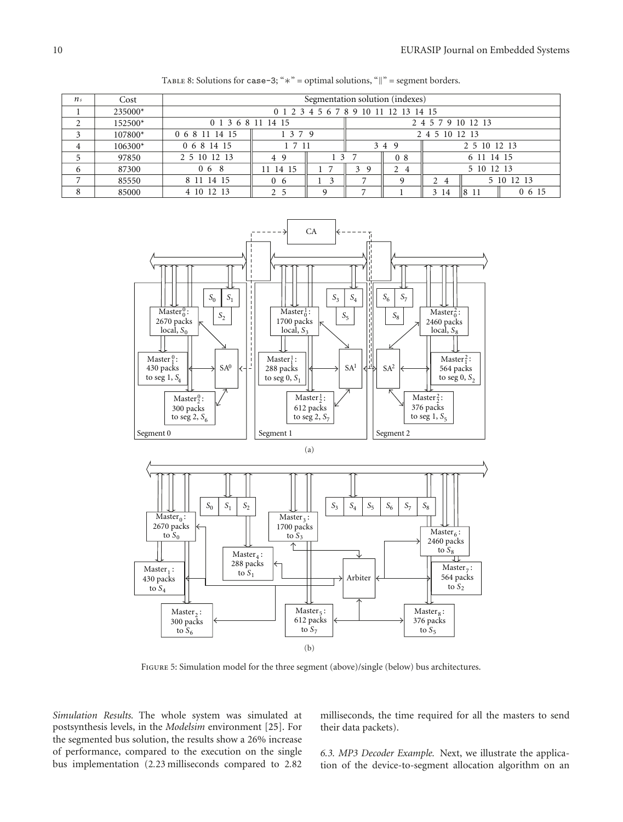| n <sub>s</sub> | Cost    | Segmentation solution (indexes) |                                       |        |        |                      |                          |  |  |  |  |
|----------------|---------|---------------------------------|---------------------------------------|--------|--------|----------------------|--------------------------|--|--|--|--|
|                | 235000* |                                 | 0 1 2 3 4 5 6 7 8 9 10 11 12 13 14 15 |        |        |                      |                          |  |  |  |  |
| ↑              | 152500* | 0 1 3 6 8 11 14 15              |                                       |        |        | 2 4 5 7 9 10 12 13   |                          |  |  |  |  |
|                | 107800* | 0 6 8 11 14 15                  | 1 3 7 9                               |        |        | 2 4 5 10 12 13       |                          |  |  |  |  |
| 4              | 106300* | 0 6 8 14 15                     | 1 7 11                                |        |        | 3 4 9                | 2 5 10 12 13             |  |  |  |  |
|                | 97850   | 2 5 10 12 13                    | 49                                    | $1\,3$ |        | 08                   | 6 11 14 15               |  |  |  |  |
| 6              | 87300   | 068                             | 11 14 15                              |        | 3<br>9 | 2<br>4               | 5 10 12 13               |  |  |  |  |
|                | 85550   | 8 11 14 15                      | 0 <sub>6</sub>                        | 3      |        | 5 10 12 13<br>2<br>4 |                          |  |  |  |  |
| 8              | 85000   | 4 10 12 13                      | 2 5                                   |        |        |                      | 0 6 15<br>  8 11<br>3 14 |  |  |  |  |

TABLE 8: Solutions for case-3; "\*" = optimal solutions, " $\parallel$ " = segment borders.



Figure 5: Simulation model for the three segment (above)/single (below) bus architectures.

*Simulation Results.* The whole system was simulated at postsynthesis levels, in the *Modelsim* environment [25]. For the segmented bus solution, the results show a 26% increase of performance, compared to the execution on the single bus implementation (2*.*23 milliseconds compared to 2*.*82

milliseconds, the time required for all the masters to send their data packets).

*6.3. MP3 Decoder Example.* Next, we illustrate the application of the device-to-segment allocation algorithm on an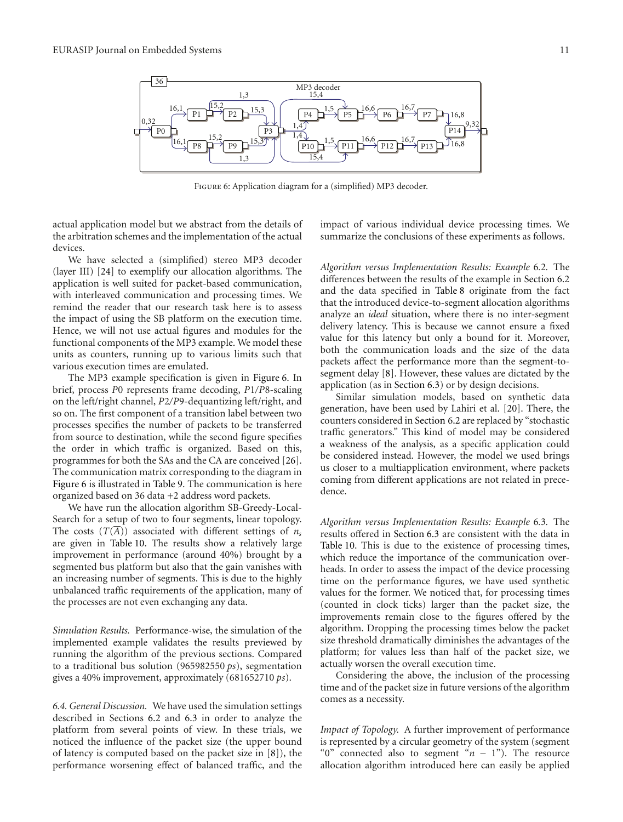

Figure 6: Application diagram for a (simplified) MP3 decoder.

actual application model but we abstract from the details of the arbitration schemes and the implementation of the actual devices.

We have selected a (simplified) stereo MP3 decoder (layer III) [24] to exemplify our allocation algorithms. The application is well suited for packet-based communication, with interleaved communication and processing times. We remind the reader that our research task here is to assess the impact of using the SB platform on the execution time. Hence, we will not use actual figures and modules for the functional components of the MP3 example. We model these units as counters, running up to various limits such that various execution times are emulated.

The MP3 example specification is given in Figure 6. In brief, process *P*0 represents frame decoding, *P*1*/P*8-scaling on the left/right channel, *P*2*/P*9-dequantizing left/right, and so on. The first component of a transition label between two processes specifies the number of packets to be transferred from source to destination, while the second figure specifies the order in which traffic is organized. Based on this, programmes for both the SAs and the CA are conceived [26]. The communication matrix corresponding to the diagram in Figure 6 is illustrated in Table 9. The communication is here organized based on 36 data +2 address word packets.

We have run the allocation algorithm SB-Greedy-Local-Search for a setup of two to four segments, linear topology. The costs  $(T(\overline{A}))$  associated with different settings of  $n<sub>s</sub>$ are given in Table 10. The results show a relatively large improvement in performance (around 40%) brought by a segmented bus platform but also that the gain vanishes with an increasing number of segments. This is due to the highly unbalanced traffic requirements of the application, many of the processes are not even exchanging any data.

*Simulation Results.* Performance-wise, the simulation of the implemented example validates the results previewed by running the algorithm of the previous sections. Compared to a traditional bus solution (965982550 *ps*), segmentation gives a 40% improvement, approximately (681652710 *ps*).

*6.4. General Discussion.* We have used the simulation settings described in Sections 6.2 and 6.3 in order to analyze the platform from several points of view. In these trials, we noticed the influence of the packet size (the upper bound of latency is computed based on the packet size in [8]), the performance worsening effect of balanced traffic, and the impact of various individual device processing times. We summarize the conclusions of these experiments as follows.

*Algorithm versus Implementation Results: Example* 6*.*2*.* The differences between the results of the example in Section 6.2 and the data specified in Table 8 originate from the fact that the introduced device-to-segment allocation algorithms analyze an *ideal* situation, where there is no inter-segment delivery latency. This is because we cannot ensure a fixed value for this latency but only a bound for it. Moreover, both the communication loads and the size of the data packets affect the performance more than the segment-tosegment delay [8]. However, these values are dictated by the application (as in Section 6.3) or by design decisions.

Similar simulation models, based on synthetic data generation, have been used by Lahiri et al. [20]. There, the counters considered in Section 6.2 are replaced by "stochastic traffic generators." This kind of model may be considered a weakness of the analysis, as a specific application could be considered instead. However, the model we used brings us closer to a multiapplication environment, where packets coming from different applications are not related in precedence.

*Algorithm versus Implementation Results: Example* 6*.*3*.* The results offered in Section 6.3 are consistent with the data in Table 10. This is due to the existence of processing times, which reduce the importance of the communication overheads. In order to assess the impact of the device processing time on the performance figures, we have used synthetic values for the former. We noticed that, for processing times (counted in clock ticks) larger than the packet size, the improvements remain close to the figures offered by the algorithm. Dropping the processing times below the packet size threshold dramatically diminishes the advantages of the platform; for values less than half of the packet size, we actually worsen the overall execution time.

Considering the above, the inclusion of the processing time and of the packet size in future versions of the algorithm comes as a necessity.

*Impact of Topology.* A further improvement of performance is represented by a circular geometry of the system (segment "0" connected also to segment "*n* − 1"). The resource allocation algorithm introduced here can easily be applied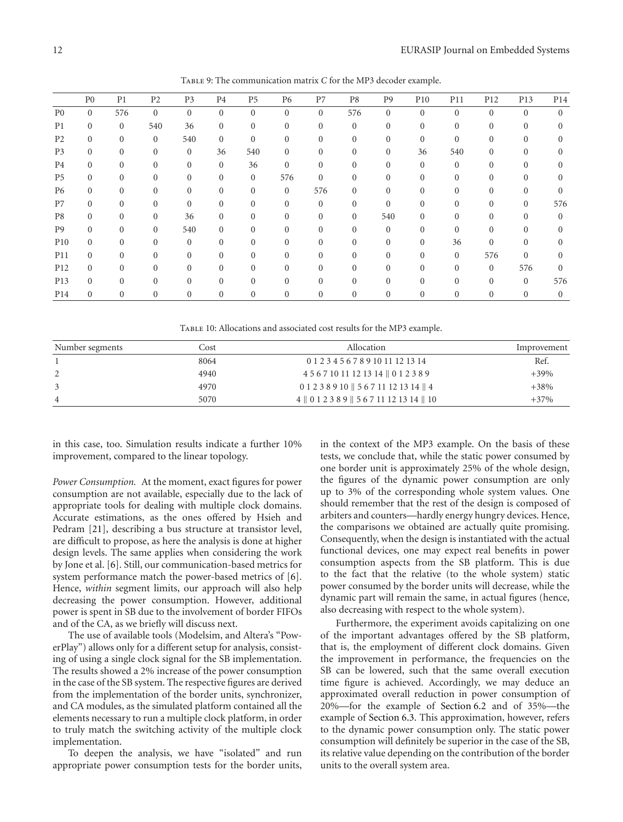|                 | P <sub>0</sub> | P <sub>1</sub> | P <sub>2</sub> | P <sub>3</sub> | P <sub>4</sub> | P <sub>5</sub> | P <sub>6</sub> | P <sub>7</sub> | P <sub>8</sub> | P <sub>9</sub> | P <sub>10</sub> | P11            | P <sub>12</sub> | P <sub>13</sub> | P <sub>14</sub> |
|-----------------|----------------|----------------|----------------|----------------|----------------|----------------|----------------|----------------|----------------|----------------|-----------------|----------------|-----------------|-----------------|-----------------|
| P <sub>0</sub>  | $\Omega$       | 576            | $\Omega$       | $\Omega$       | $\mathbf{0}$   | $\Omega$       | $\Omega$       | $\Omega$       | 576            | $\Omega$       | $\Omega$        | $\Omega$       | $\Omega$        | $\Omega$        | $\Omega$        |
| P <sub>1</sub>  | $\Omega$       | $\overline{0}$ | 540            | 36             | $\Omega$       | $\overline{0}$ | $\Omega$       | $\Omega$       | $\Omega$       | $\Omega$       | $\Omega$        | $\overline{0}$ | $\Omega$        | $\Omega$        | $\Omega$        |
| P <sub>2</sub>  | $\Omega$       | $\mathbf{0}$   | $\overline{0}$ | 540            | $\mathbf{0}$   | $\overline{0}$ | $\Omega$       | $\mathbf{0}$   | $\Omega$       | $\mathbf{0}$   | $\overline{0}$  | $\overline{0}$ | $\overline{0}$  | $\overline{0}$  | $\Omega$        |
| P <sub>3</sub>  | $\Omega$       | $\Omega$       | $\Omega$       | $\overline{0}$ | 36             | 540            | $\Omega$       | $\Omega$       | $\Omega$       | $\mathbf{0}$   | 36              | 540            | $\overline{0}$  | $\Omega$        | 0               |
| P <sub>4</sub>  | $\Omega$       | 0              | $\Omega$       | $\Omega$       | $\mathbf{0}$   | 36             | $\Omega$       | $\Omega$       | $\Omega$       | $\Omega$       | $\Omega$        | $\Omega$       | $\Omega$        | $\Omega$        |                 |
| P <sub>5</sub>  | $\Omega$       | $\Omega$       | $\Omega$       | $\Omega$       | $\overline{0}$ | $\overline{0}$ | 576            | $\Omega$       | $\Omega$       | $\Omega$       | $\Omega$        | $\overline{0}$ | $\Omega$        | $\Omega$        | 0               |
| P <sub>6</sub>  | $\Omega$       | $\Omega$       | $\Omega$       | $\Omega$       | $\Omega$       | $\overline{0}$ | $\overline{0}$ | 576            | $\Omega$       | $\mathbf{0}$   | $\Omega$        | $\overline{0}$ | $\Omega$        | $\overline{0}$  | $\Omega$        |
| P7              | $\Omega$       | 0              | $\Omega$       | $\Omega$       | $\Omega$       | 0              | $\Omega$       | $\overline{0}$ | $\Omega$       | $\Omega$       | $\Omega$        | $\Omega$       | $\Omega$        | $\Omega$        | 576             |
| P <sub>8</sub>  | $\Omega$       | $\Omega$       | $\Omega$       | 36             | $\Omega$       | $\Omega$       | 0              | $\Omega$       | $\Omega$       | 540            | $\Omega$        | $\Omega$       | $\Omega$        | $\Omega$        | $\Omega$        |
| P <sub>9</sub>  | $\Omega$       | $\Omega$       | $\Omega$       | 540            | $\Omega$       | $\Omega$       | $\Omega$       | $\Omega$       | $\Omega$       | $\overline{0}$ | $\Omega$        | $\Omega$       | $\Omega$        | $\Omega$        | $\Omega$        |
| P <sub>10</sub> | $\Omega$       | 0              | $\Omega$       | $\Omega$       | $\Omega$       | $\theta$       | 0              | $\Omega$       | $\Omega$       | $\mathbf{0}$   | $\Omega$        | 36             | $\Omega$        | $\overline{0}$  | 0               |
| P <sub>11</sub> | $\Omega$       | $\Omega$       | 0              | $\Omega$       | 0              | $\Omega$       | 0              | $\Omega$       | $\Omega$       | $\Omega$       | $\Omega$        | $\overline{0}$ | 576             | $\overline{0}$  | $\Omega$        |
| P <sub>12</sub> | $\Omega$       | $\theta$       | $\Omega$       |                | $\Omega$       | $\theta$       | 0              | $\Omega$       | $\Omega$       | $\Omega$       | $\Omega$        | $\Omega$       | $\overline{0}$  | 576             | $\Omega$        |
| P <sub>13</sub> | $\Omega$       | $\Omega$       | $\Omega$       |                | $\Omega$       | $\Omega$       | 0              | $\Omega$       | $\Omega$       | $\Omega$       | $\Omega$        | $\Omega$       | $\Omega$        | $\Omega$        | 576             |
| P <sub>14</sub> | 0              |                |                |                | 0              |                |                |                |                | $\Omega$       |                 | $\theta$       |                 | $\Omega$        | $\Omega$        |

Table 9: The communication matrix *C* for the MP3 decoder example.

Table 10: Allocations and associated cost results for the MP3 example.

| Number segments | Cost | Allocation                               | Improvement |
|-----------------|------|------------------------------------------|-------------|
|                 | 8064 | 0 1 2 3 4 5 6 7 8 9 10 11 12 13 14       | Ref.        |
|                 | 4940 | 4 5 6 7 10 11 12 13 14    0 1 2 3 8 9    | $+39%$      |
|                 | 4970 | 0 1 2 3 8 9 10    5 6 7 11 12 13 14    4 | $+38%$      |
| 4               | 5070 | 4 0 1 2 3 8 9 0 5 6 7 11 12 13 14 0 10   | $+37\%$     |

in this case, too. Simulation results indicate a further 10% improvement, compared to the linear topology.

*Power Consumption.* At the moment, exact figures for power consumption are not available, especially due to the lack of appropriate tools for dealing with multiple clock domains. Accurate estimations, as the ones offered by Hsieh and Pedram [21], describing a bus structure at transistor level, are difficult to propose, as here the analysis is done at higher design levels. The same applies when considering the work by Jone et al. [6]. Still, our communication-based metrics for system performance match the power-based metrics of [6]. Hence, *within* segment limits, our approach will also help decreasing the power consumption. However, additional power is spent in SB due to the involvement of border FIFOs and of the CA, as we briefly will discuss next.

The use of available tools (Modelsim, and Altera's "PowerPlay") allows only for a different setup for analysis, consisting of using a single clock signal for the SB implementation. The results showed a 2% increase of the power consumption in the case of the SB system. The respective figures are derived from the implementation of the border units, synchronizer, and CA modules, as the simulated platform contained all the elements necessary to run a multiple clock platform, in order to truly match the switching activity of the multiple clock implementation.

To deepen the analysis, we have "isolated" and run appropriate power consumption tests for the border units, in the context of the MP3 example. On the basis of these tests, we conclude that, while the static power consumed by one border unit is approximately 25% of the whole design, the figures of the dynamic power consumption are only up to 3% of the corresponding whole system values. One should remember that the rest of the design is composed of arbiters and counters—hardly energy hungry devices. Hence, the comparisons we obtained are actually quite promising. Consequently, when the design is instantiated with the actual functional devices, one may expect real benefits in power consumption aspects from the SB platform. This is due to the fact that the relative (to the whole system) static power consumed by the border units will decrease, while the dynamic part will remain the same, in actual figures (hence, also decreasing with respect to the whole system).

Furthermore, the experiment avoids capitalizing on one of the important advantages offered by the SB platform, that is, the employment of different clock domains. Given the improvement in performance, the frequencies on the SB can be lowered, such that the same overall execution time figure is achieved. Accordingly, we may deduce an approximated overall reduction in power consumption of 20%—for the example of Section 6.2 and of 35%—the example of Section 6.3. This approximation, however, refers to the dynamic power consumption only. The static power consumption will definitely be superior in the case of the SB, its relative value depending on the contribution of the border units to the overall system area.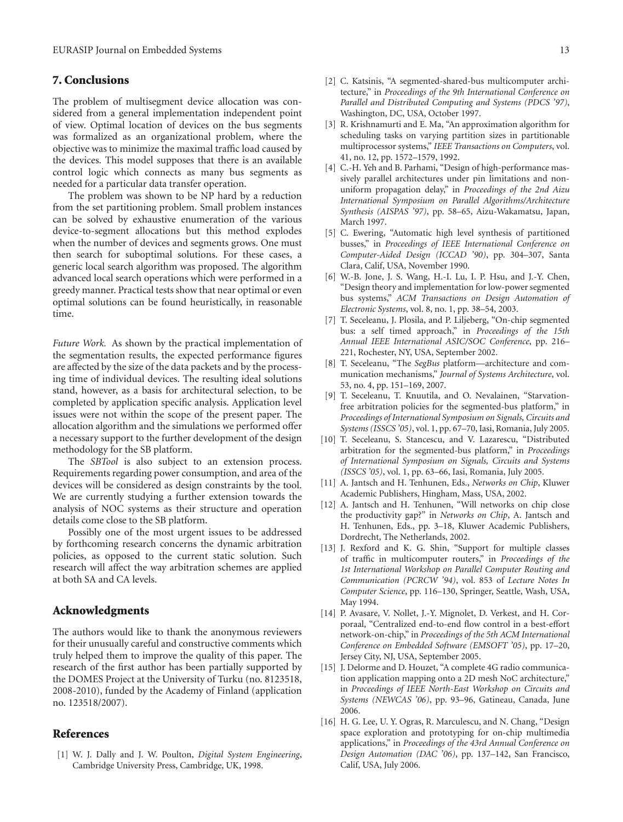## **7. Conclusions**

The problem of multisegment device allocation was considered from a general implementation independent point of view. Optimal location of devices on the bus segments was formalized as an organizational problem, where the objective was to minimize the maximal traffic load caused by the devices. This model supposes that there is an available control logic which connects as many bus segments as needed for a particular data transfer operation.

The problem was shown to be NP hard by a reduction from the set partitioning problem. Small problem instances can be solved by exhaustive enumeration of the various device-to-segment allocations but this method explodes when the number of devices and segments grows. One must then search for suboptimal solutions. For these cases, a generic local search algorithm was proposed. The algorithm advanced local search operations which were performed in a greedy manner. Practical tests show that near optimal or even optimal solutions can be found heuristically, in reasonable time.

*Future Work.* As shown by the practical implementation of the segmentation results, the expected performance figures are affected by the size of the data packets and by the processing time of individual devices. The resulting ideal solutions stand, however, as a basis for architectural selection, to be completed by application specific analysis. Application level issues were not within the scope of the present paper. The allocation algorithm and the simulations we performed offer a necessary support to the further development of the design methodology for the SB platform.

The *SBTool* is also subject to an extension process. Requirements regarding power consumption, and area of the devices will be considered as design constraints by the tool. We are currently studying a further extension towards the analysis of NOC systems as their structure and operation details come close to the SB platform.

Possibly one of the most urgent issues to be addressed by forthcoming research concerns the dynamic arbitration policies, as opposed to the current static solution. Such research will affect the way arbitration schemes are applied at both SA and CA levels.

## **Acknowledgments**

The authors would like to thank the anonymous reviewers for their unusually careful and constructive comments which truly helped them to improve the quality of this paper. The research of the first author has been partially supported by the DOMES Project at the University of Turku (no. 8123518, 2008-2010), funded by the Academy of Finland (application no. 123518/2007).

#### **References**

[1] W. J. Dally and J. W. Poulton, *Digital System Engineering*, Cambridge University Press, Cambridge, UK, 1998.

- [2] C. Katsinis, "A segmented-shared-bus multicomputer architecture," in *Proceedings of the 9th International Conference on Parallel and Distributed Computing and Systems (PDCS '97)*, Washington, DC, USA, October 1997.
- [3] R. Krishnamurti and E. Ma, "An approximation algorithm for scheduling tasks on varying partition sizes in partitionable multiprocessor systems," *IEEE Transactions on Computers*, vol. 41, no. 12, pp. 1572–1579, 1992.
- [4] C.-H. Yeh and B. Parhami, "Design of high-performance massively parallel architectures under pin limitations and nonuniform propagation delay," in *Proceedings of the 2nd Aizu International Symposium on Parallel Algorithms/Architecture Synthesis (AISPAS '97)*, pp. 58–65, Aizu-Wakamatsu, Japan, March 1997.
- [5] C. Ewering, "Automatic high level synthesis of partitioned busses," in *Proceedings of IEEE International Conference on Computer-Aided Design (ICCAD '90)*, pp. 304–307, Santa Clara, Calif, USA, November 1990.
- [6] W.-B. Jone, J. S. Wang, H.-I. Lu, I. P. Hsu, and J.-Y. Chen, "Design theory and implementation for low-power segmented bus systems," *ACM Transactions on Design Automation of Electronic Systems*, vol. 8, no. 1, pp. 38–54, 2003.
- [7] T. Seceleanu, J. Plosila, and P. Liljeberg, "On-chip segmented bus: a self timed approach," in *Proceedings of the 15th Annual IEEE International ASIC/SOC Conference*, pp. 216– 221, Rochester, NY, USA, September 2002.
- [8] T. Seceleanu, "The *SegBus* platform—architecture and communication mechanisms," *Journal of Systems Architecture*, vol. 53, no. 4, pp. 151–169, 2007.
- [9] T. Seceleanu, T. Knuutila, and O. Nevalainen, "Starvationfree arbitration policies for the segmented-bus platform," in *Proceedings of International Symposium on Signals, Circuits and Systems (ISSCS '05)*, vol. 1, pp. 67–70, Iasi, Romania, July 2005.
- [10] T. Seceleanu, S. Stancescu, and V. Lazarescu, "Distributed arbitration for the segmented-bus platform," in *Proceedings of International Symposium on Signals, Circuits and Systems (ISSCS '05)*, vol. 1, pp. 63–66, Iasi, Romania, July 2005.
- [11] A. Jantsch and H. Tenhunen, Eds., *Networks on Chip*, Kluwer Academic Publishers, Hingham, Mass, USA, 2002.
- [12] A. Jantsch and H. Tenhunen, "Will networks on chip close the productivity gap?" in *Networks on Chip*, A. Jantsch and H. Tenhunen, Eds., pp. 3–18, Kluwer Academic Publishers, Dordrecht, The Netherlands, 2002.
- [13] J. Rexford and K. G. Shin, "Support for multiple classes of traffic in multicomputer routers," in *Proceedings of the 1st International Workshop on Parallel Computer Routing and Communication (PCRCW '94)*, vol. 853 of *Lecture Notes In Computer Science*, pp. 116–130, Springer, Seattle, Wash, USA, May 1994.
- [14] P. Avasare, V. Nollet, J.-Y. Mignolet, D. Verkest, and H. Corporaal, "Centralized end-to-end flow control in a best-effort network-on-chip," in *Proceedings of the 5th ACM International Conference on Embedded Software (EMSOFT '05)*, pp. 17–20, Jersey City, NJ, USA, September 2005.
- [15] J. Delorme and D. Houzet, "A complete 4G radio communication application mapping onto a 2D mesh NoC architecture," in *Proceedings of IEEE North-East Workshop on Circuits and Systems (NEWCAS '06)*, pp. 93–96, Gatineau, Canada, June 2006.
- [16] H. G. Lee, U. Y. Ogras, R. Marculescu, and N. Chang, "Design space exploration and prototyping for on-chip multimedia applications," in *Proceedings of the 43rd Annual Conference on Design Automation (DAC '06)*, pp. 137–142, San Francisco, Calif, USA, July 2006.